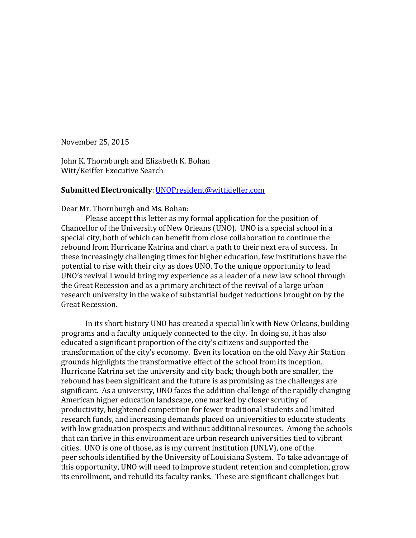November 25, 2015

John K. Thornburgh and Elizabeth K. Bohan Witt/Keiffer Executive Search

### Submitted Electronically: UNOPresident@wittkieffer.com

Dear Mr. Thornburgh and Ms. Bohan:

Please accept this letter as my formal application for the position of Chancellor of the University of New Orleans (UNO). UNO is a special school in a special city, both of which can benefit from close collaboration to continue the rebound from Hurricane Katrina and chart a path to their next era of success. In these increasingly challenging times for higher education, few institutions have the potential to rise with their city as does UNO. To the unique opportunity to lead UNO's revival I would bring my experience as a leader of a new law school through the Great Recession and as a primary architect of the revival of a large urban research university in the wake of substantial budget reductions brought on by the Great Recession.

In its short history UNO has created a special link with New Orleans, building programs and a faculty uniquely connected to the city. In doing so, it has also educated a significant proportion of the city's citizens and supported the transformation of the city's economy. Even its location on the old Navy Air Station grounds highlights the transformative effect of the school from its inception. Hurricane Katrina set the university and city back; though both are smaller, the rebound has been significant and the future is as promising as the challenges are significant. As a university, UNO faces the addition challenge of the rapidly changing American higher education landscape, one marked by closer scrutiny of productivity, heightened competition for fewer traditional students and limited research funds, and increasing demands placed on universities to educate students with low graduation prospects and without additional resources. Among the schools that can thrive in this environment are urban research universities tied to vibrant cities. UNO is one of those, as is my current institution (UNLV), one of the peer schools identified by the University of Louisiana System. To take advantage of this opportunity, UNO will need to improve student retention and completion, grow its enrollment, and rebuild its faculty ranks. These are significant challenges but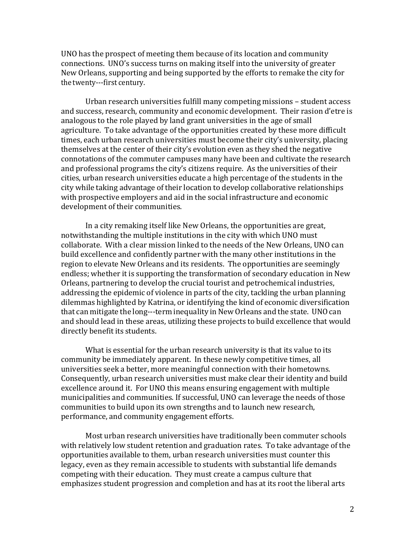UNO has the prospect of meeting them because of its location and community connections. UNO's success turns on making itself into the university of greater New Orleans, supporting and being supported by the efforts to remake the city for the twenty---first century.

Urban research universities fulfill many competing missions – student access and success, research, community and economic development. Their rasion d'etre is analogous to the role played by land grant universities in the age of small agriculture. To take advantage of the opportunities created by these more difficult times, each urban research universities must become their city's university, placing themselves at the center of their city's evolution even as they shed the negative connotations of the commuter campuses many have been and cultivate the research and professional programs the city's citizens require. As the universities of their cities, urban research universities educate a high percentage of the students in the city while taking advantage of their location to develop collaborative relationships with prospective employers and aid in the social infrastructure and economic development of their communities.

In a city remaking itself like New Orleans, the opportunities are great, notwithstanding the multiple institutions in the city with which UNO must collaborate. With a clear mission linked to the needs of the New Orleans, UNO can build excellence and confidently partner with the many other institutions in the region to elevate New Orleans and its residents. The opportunities are seemingly endless; whether it is supporting the transformation of secondary education in New Orleans, partnering to develop the crucial tourist and petrochemical industries, addressing the epidemic of violence in parts of the city, tackling the urban planning dilemmas highlighted by Katrina, or identifying the kind of economic diversification that can mitigate the long---term inequality in New Orleans and the state. UNO can and should lead in these areas, utilizing these projects to build excellence that would directly benefit its students.

What is essential for the urban research university is that its value to its community be immediately apparent. In these newly competitive times, all universities seek a better, more meaningful connection with their hometowns. Consequently, urban research universities must make clear their identity and build excellence around it. For UNO this means ensuring engagement with multiple municipalities and communities. If successful, UNO can leverage the needs of those communities to build upon its own strengths and to launch new research, performance, and community engagement efforts.

Most urban research universities have traditionally been commuter schools with relatively low student retention and graduation rates. To take advantage of the opportunities available to them, urban research universities must counter this legacy, even as they remain accessible to students with substantial life demands competing with their education. They must create a campus culture that emphasizes student progression and completion and has at its root the liberal arts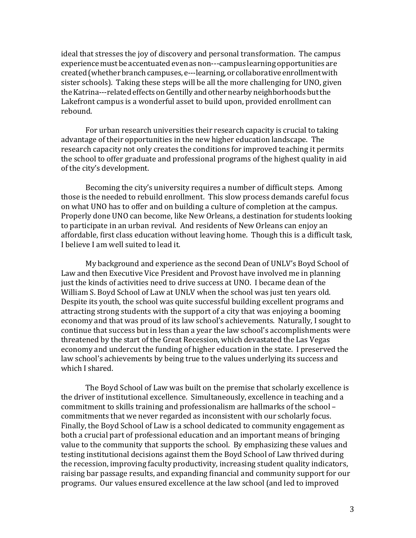ideal that stresses the joy of discovery and personal transformation. The campus experience must be accentuated even as non---campus learning opportunities are created (whether branch campuses, e---learning, or collaborative enrollment with sister schools). Taking these steps will be all the more challenging for UNO, given the Katrina---related effects on Gentilly and other nearby neighborhoods but the Lakefront campus is a wonderful asset to build upon, provided enrollment can rebound.

For urban research universities their research capacity is crucial to taking advantage of their opportunities in the new higher education landscape. The research capacity not only creates the conditions for improved teaching it permits the school to offer graduate and professional programs of the highest quality in aid of the city's development.

Becoming the city's university requires a number of difficult steps. Among those is the needed to rebuild enrollment. This slow process demands careful focus on what UNO has to offer and on building a culture of completion at the campus. Properly done UNO can become, like New Orleans, a destination for students looking to participate in an urban revival. And residents of New Orleans can enjoy an affordable, first class education without leaving home. Though this is a difficult task, I believe I am well suited to lead it.

My background and experience as the second Dean of UNLV's Boyd School of Law and then Executive Vice President and Provost have involved me in planning just the kinds of activities need to drive success at UNO. I became dean of the William S. Boyd School of Law at UNLV when the school was just ten years old. Despite its youth, the school was quite successful building excellent programs and attracting strong students with the support of a city that was enjoying a booming economy and that was proud of its law school's achievements. Naturally, I sought to continue that success but in less than a year the law school's accomplishments were threatened by the start of the Great Recession, which devastated the Las Vegas economy and undercut the funding of higher education in the state. I preserved the law school's achievements by being true to the values underlying its success and which I shared.

The Boyd School of Law was built on the premise that scholarly excellence is the driver of institutional excellence. Simultaneously, excellence in teaching and a commitment to skills training and professionalism are hallmarks of the school – commitments that we never regarded as inconsistent with our scholarly focus. Finally, the Boyd School of Law is a school dedicated to community engagement as both a crucial part of professional education and an important means of bringing value to the community that supports the school. By emphasizing these values and testing institutional decisions against them the Boyd School of Law thrived during the recession, improving faculty productivity, increasing student quality indicators, raising bar passage results, and expanding financial and community support for our programs. Our values ensured excellence at the law school (and led to improved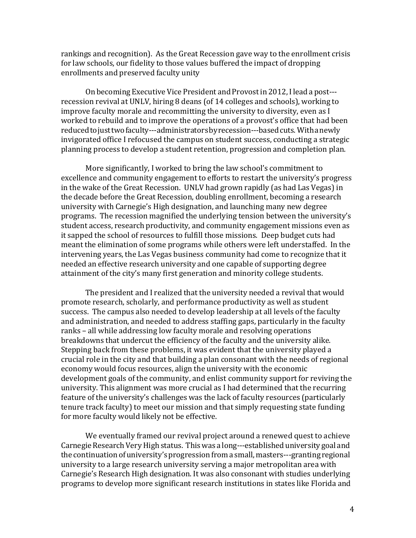rankings and recognition). As the Great Recession gave way to the enrollment crisis for law schools, our fidelity to those values buffered the impact of dropping enrollments and preserved faculty unity

On becoming Executive Vice President and Provostin 2012, Ilead a post recession revival at UNLV, hiring 8 deans (of 14 colleges and schools), working to improve faculty morale and recommitting the university to diversity, even as I worked to rebuild and to improve the operations of a provost's office that had been reduced to just two faculty---administrators by recession---based cuts. With a newly invigorated office I refocused the campus on student success, conducting a strategic planning process to develop a student retention, progression and completion plan.

More significantly, I worked to bring the law school's commitment to excellence and community engagement to efforts to restart the university's progress in the wake of the Great Recession. UNLV had grown rapidly (as had Las Vegas) in the decade before the Great Recession, doubling enrollment, becoming a research university with Carnegie's High designation, and launching many new degree programs. The recession magnified the underlying tension between the university's student access, research productivity, and community engagement missions even as it sapped the school of resources to fulfill those missions. Deep budget cuts had meant the elimination of some programs while others were left understaffed. In the intervening years, the Las Vegas business community had come to recognize that it needed an effective research university and one capable of supporting degree attainment of the city's many first generation and minority college students.

The president and I realized that the university needed a revival that would promote research, scholarly, and performance productivity as well as student success. The campus also needed to develop leadership at all levels of the faculty and administration, and needed to address staffing gaps, particularly in the faculty ranks – all while addressing low faculty morale and resolving operations breakdowns that undercut the efficiency of the faculty and the university alike. Stepping back from these problems, it was evident that the university played a crucial role in the city and that building a plan consonant with the needs of regional economy would focus resources, align the university with the economic development goals of the community, and enlist community support for reviving the university. This alignment was more crucial as I had determined that the recurring feature of the university's challenges was the lack of faculty resources (particularly tenure track faculty) to meet our mission and that simply requesting state funding for more faculty would likely not be effective.

We eventually framed our revival project around a renewed quest to achieve Carnegie Research Very High status. This was a long---established university goal and the continuation of university's progression from a small, masters---granting regional university to a large research university serving a major metropolitan area with Carnegie's Research High designation. It was also consonant with studies underlying programs to develop more significant research institutions in states like Florida and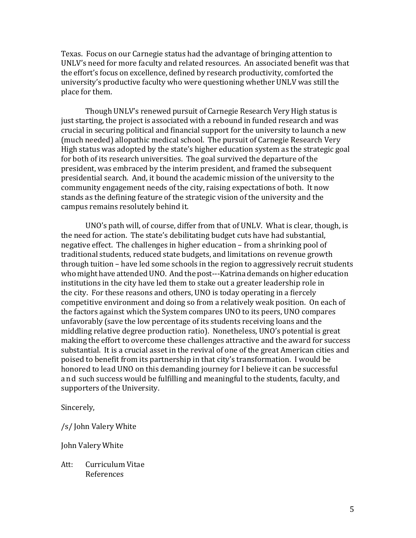Texas. Focus on our Carnegie status had the advantage of bringing attention to UNLV's need for more faculty and related resources. An associated benefit was that the effort's focus on excellence, defined by research productivity, comforted the university's productive faculty who were questioning whether UNLV was still the place for them.

Though UNLV's renewed pursuit of Carnegie Research Very High status is just starting, the project is associated with a rebound in funded research and was crucial in securing political and financial support for the university to launch a new (much needed) allopathic medical school. The pursuit of Carnegie Research Very High status was adopted by the state's higher education system as the strategic goal for both of its research universities. The goal survived the departure of the president, was embraced by the interim president, and framed the subsequent presidential search. And, it bound the academic mission of the university to the community engagement needs of the city, raising expectations of both. It now stands as the defining feature of the strategic vision of the university and the campus remains resolutely behind it.

UNO's path will, of course, differ from that of UNLV. What is clear, though, is the need for action. The state's debilitating budget cuts have had substantial, negative effect. The challenges in higher education – from a shrinking pool of traditional students, reduced state budgets, and limitations on revenue growth through tuition – have led some schools in the region to aggressively recruit students who might have attended UNO. And the post---Katrina demands on higher education institutions in the city have led them to stake out a greater leadership role in the city. For these reasons and others, UNO is today operating in a fiercely competitive environment and doing so from a relatively weak position. On each of the factors against which the System compares UNO to its peers, UNO compares unfavorably (save the low percentage of its students receiving loans and the middling relative degree production ratio). Nonetheless, UNO's potential is great making the effort to overcome these challenges attractive and the award for success substantial. It is a crucial asset in the revival of one of the great American cities and poised to benefit from its partnership in that city's transformation. I would be honored to lead UNO on this demanding journey for I believe it can be successful and such success would be fulfilling and meaningful to the students, faculty, and supporters of the University.

Sincerely,

/s/ John Valery White

John Valery White

Att: Curriculum Vitae References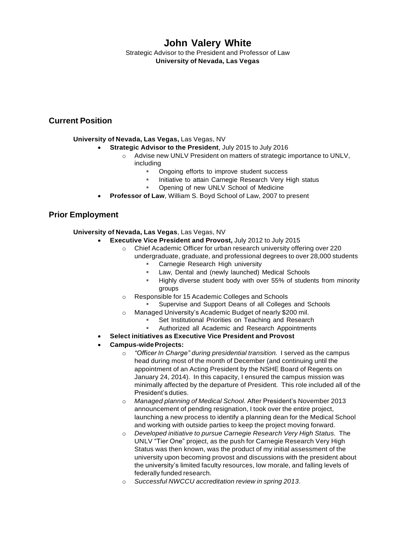# **John Valery White**

Strategic Advisor to the President and Professor of Law **University of Nevada, Las Vegas**

# **Current Position**

### **University of Nevada, Las Vegas,** Las Vegas, NV

- **Strategic Advisor to the President**, July 2015 to July 2016
	- $\circ$  Advise new UNLV President on matters of strategic importance to UNLV, including
		- Ongoing efforts to improve student success
		- " Initiative to attain Carnegie Research Very High status
		- Opening of new UNLV School of Medicine
- **Professor of Law**, William S. Boyd School of Law, 2007 to present

# **Prior Employment**

### **University of Nevada, Las Vegas**, Las Vegas, NV

- **Executive Vice President and Provost,** July 2012 to July 2015
	- o Chief Academic Officer for urban research university offering over 220
		- undergraduate, graduate, and professional degrees to over 28,000 students
			- Carnegie Research High university
			- Law, Dental and (newly launched) Medical Schools
			- Highly diverse student body with over 55% of students from minority groups
	- o Responsible for 15 Academic Colleges and Schools
		- Supervise and Support Deans of all Colleges and Schools
	- o Managed University's Academic Budget of nearly \$200 mil.
		- Set Institutional Priorities on Teaching and Research
		- Authorized all Academic and Research Appointments
- **Select initiatives as Executive Vice President and Provost**
- **Campus-wideProjects:**
	- o *"Officer In Charge" during presidential transition.* I served as the campus head during most of the month of December (and continuing until the appointment of an Acting President by the NSHE Board of Regents on January 24, 2014). In this capacity, I ensured the campus mission was minimally affected by the departure of President. This role included all of the President's duties.
	- o *Managed planning of Medical School.* After President's November 2013 announcement of pending resignation, I took over the entire project, launching a new process to identify a planning dean for the Medical School and working with outside parties to keep the project moving forward.
	- o *Developed initiative to pursue Carnegie Research Very High Status.* The UNLV "Tier One" project, as the push for Carnegie Research Very High Status was then known, was the product of my initial assessment of the university upon becoming provost and discussions with the president about the university's limited faculty resources, low morale, and falling levels of federally funded research.
	- o *Successful NWCCU accreditation review in spring 2013*.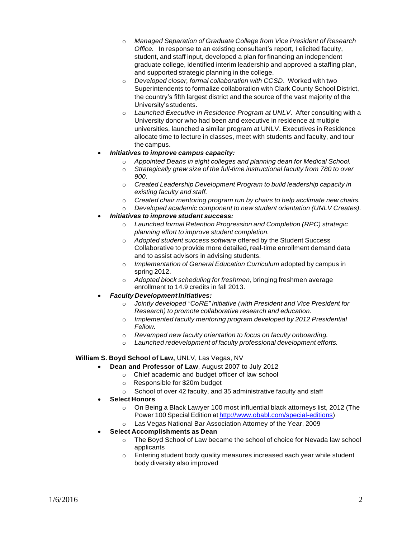- o *Managed Separation of Graduate College from Vice President of Research Office.* In response to an existing consultant's report, I elicited faculty, student, and staff input, developed a plan for financing an independent graduate college, identified interim leadership and approved a staffing plan, and supported strategic planning in the college.
- o *Developed closer, formal collaboration with CCSD*. Worked with two Superintendents to formalize collaboration with Clark County School District, the country's fifth largest district and the source of the vast majority of the University's students.
- o *Launched Executive In Residence Program at UNLV*. After consulting with a University donor who had been and executive in residence at multiple universities, launched a similar program at UNLV. Executives in Residence allocate time to lecture in classes, meet with students and faculty, and tour the campus.

### *Initiatives to improve campus capacity:*

- o *Appointed Deans in eight colleges and planning dean for Medical School.*
- o *Strategically grew size of the full-time instructional faculty from 780 to over 900.*
- o *Created Leadership Development Program to build leadership capacity in existing faculty and staff.*
- o *Created chair mentoring program run by chairs to help acclimate new chairs.*
- o *Developed academic component to new student orientation (UNLV Creates).*
- *Initiatives to improve student success:*
	- o *Launched formal Retention Progression and Completion (RPC) strategic planning effort to improve student completion.*
	- o *Adopted student success software* offered by the Student Success Collaborative to provide more detailed, real-time enrollment demand data and to assist advisors in advising students.
	- o *Implementation of General Education Curriculum* adopted by campus in spring 2012.
	- o *Adopted block scheduling for freshmen*, bringing freshmen average enrollment to 14.9 credits in fall 2013.
- *Faculty DevelopmentInitiatives:*
	- o *Jointly developed "CoRE" initiative (with President and Vice President for Research) to promote collaborative research and education*.
	- o *Implemented faculty mentoring program developed by 2012 Presidential Fellow.*
	- o *Revamped new faculty orientation to focus on faculty onboarding.*
	- o *Launched redevelopment of faculty professional development efforts.*

### **William S. Boyd School of Law,** UNLV, Las Vegas, NV

- **Dean and Professor of Law**, August 2007 to July 2012
	- o Chief academic and budget officer of law school
	- o Responsible for \$20m budget
	- o School of over 42 faculty, and 35 administrative faculty and staff
- **Select Honors**
	- $\circ$  On Being a Black Lawyer 100 most influential black attorneys list, 2012 (The Power 100 Special Edition at [http://www.obabl.com/special-editions\)](http://www.obabl.com/special-editions))
	- o Las Vegas National Bar Association Attorney of the Year, 2009
- **Select Accomplishments as Dean**
	- $\circ$  The Boyd School of Law became the school of choice for Nevada law school applicants
	- o Entering student body quality measures increased each year while student body diversity also improved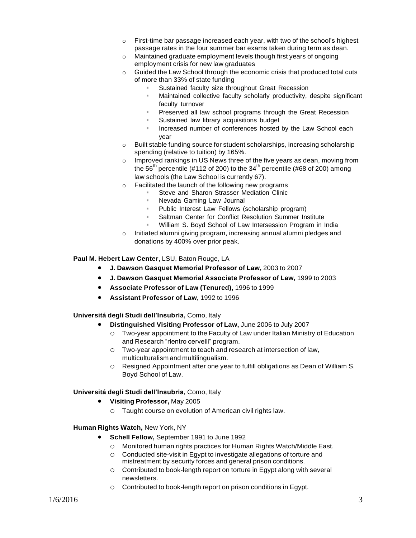- o First-time bar passage increased each year, with two of the school's highest passage rates in the four summer bar exams taken during term as dean.
- o Maintained graduate employment levels though first years of ongoing employment crisis for new law graduates
- $\circ$  Guided the Law School through the economic crisis that produced total cuts of more than 33% of state funding
	- Sustained faculty size throughout Great Recession
	- Maintained collective faculty scholarly productivity, despite significant faculty turnover
	- **Preserved all law school programs through the Great Recession**
	- Sustained law library acquisitions budget
	- " Increased number of conferences hosted by the Law School each year
- o Built stable funding source for student scholarships, increasing scholarship spending (relative to tuition) by 165%.
- o Improved rankings in US News three of the five years as dean, moving from the 56<sup>th</sup> percentile (#112 of 200) to the 34<sup>th</sup> percentile (#68 of 200) among law schools (the Law School is currently 67).
- o Facilitated the launch of the following new programs
	- Steve and Sharon Strasser Mediation Clinic
	- Nevada Gaming Law Journal
	- Public Interest Law Fellows (scholarship program)
	- Saltman Center for Conflict Resolution Summer Institute
	- William S. Boyd School of Law Intersession Program in India
- o Initiated alumni giving program, increasing annual alumni pledges and donations by 400% over prior peak.

#### **Paul M. Hebert Law Center,** LSU, Baton Rouge, LA

- **J. Dawson Gasquet Memorial Professor of Law,** 2003 to 2007
- **J. Dawson Gasquet Memorial Associate Professor of Law,** 1999 to 2003
- **Associate Professor of Law (Tenured),** 1996 to 1999
- **Assistant Professor of Law,** 1992 to 1996

#### **Universitá degli Studi dell'Insubria,** Como, Italy

- **Distinguished Visiting Professor of Law,** June 2006 to July 2007
	- o Two-year appointment to the Faculty of Law under Italian Ministry of Education and Research "rientro cervelli" program.
	- $\circ$  Two-year appointment to teach and research at intersection of law. multiculturalism and multilingualism.
	- o Resigned Appointment after one year to fulfill obligations as Dean of William S. Boyd School of Law.

#### **Universitá degli Studi dell'Insubria,** Como, Italy

- **Visiting Professor,** May 2005
	- o Taught course on evolution of American civil rights law.

#### **Human Rights Watch,** New York, NY

- **Schell Fellow,** September 1991 to June 1992
	- o Monitored human rights practices for Human Rights Watch/Middle East.
	- o Conducted site-visit in Egypt to investigate allegations of torture and mistreatment by security forces and general prison conditions.
	- o Contributed to book-length report on torture in Egypt along with several newsletters.
	- o Contributed to book-length report on prison conditions in Egypt.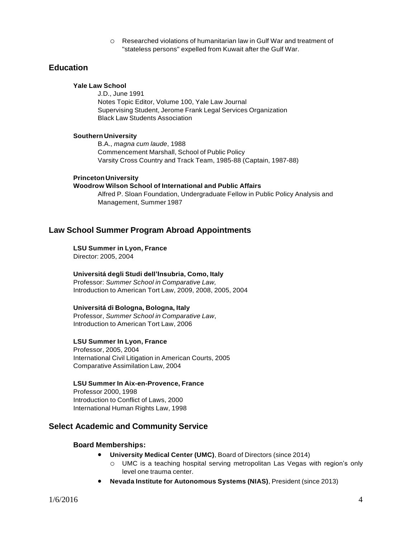o Researched violations of humanitarian law in Gulf War and treatment of "stateless persons" expelled from Kuwait after the Gulf War.

# **Education**

### **Yale Law School**

J.D., June 1991 Notes Topic Editor, Volume 100, Yale Law Journal Supervising Student, Jerome Frank Legal Services Organization Black Law Students Association

#### **Southern University**

B.A., *magna cum laude*, 1988 Commencement Marshall, School of Public Policy Varsity Cross Country and Track Team, 1985-88 (Captain, 1987-88)

#### **PrincetonUniversity**

#### **Woodrow Wilson School of International and Public Affairs**

Alfred P. Sloan Foundation, Undergraduate Fellow in Public Policy Analysis and Management, Summer 1987

### **Law School Summer Program Abroad Appointments**

#### **LSU Summer in Lyon, France**

Director: 2005, 2004

### **Universitá degli Studi dell'Insubria, Como, Italy**

Professor: *Summer School in Comparative Law,* Introduction to American Tort Law, 2009, 2008, 2005, 2004

### **Universitá di Bologna, Bologna, Italy**

Professor, *Summer School in Comparative Law*, Introduction to American Tort Law, 2006

### **LSU Summer In Lyon, France**

Professor, 2005, 2004 International Civil Litigation in American Courts, 2005 Comparative Assimilation Law, 2004

#### **LSU Summer In Aix-en-Provence, France**

Professor 2000, 1998 Introduction to Conflict of Laws, 2000 International Human Rights Law, 1998

### **Select Academic and Community Service**

#### **Board Memberships:**

- **University Medical Center (UMC)**, Board of Directors (since 2014)
	- o UMC is a teaching hospital serving metropolitan Las Vegas with region's only level one trauma center.
- **Nevada Institute for Autonomous Systems (NIAS)**, President (since 2013)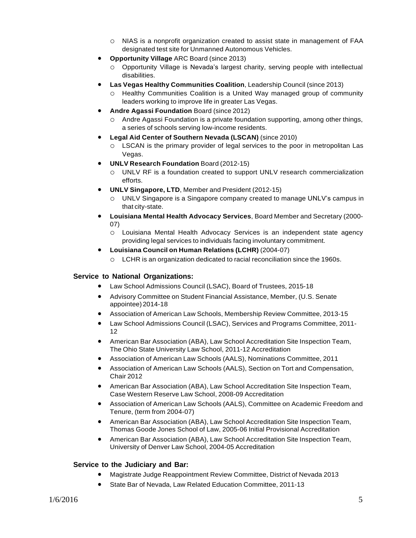- o NIAS is a nonprofit organization created to assist state in management of FAA designated test site for Unmanned Autonomous Vehicles.
- **Opportunity Village** ARC Board (since 2013)
	- o Opportunity Village is Nevada's largest charity, serving people with intellectual disabilities.
	- **Las Vegas Healthy Communities Coalition**, Leadership Council (since 2013)
		- o Healthy Communities Coalition is a United Way managed group of community leaders working to improve life in greater Las Vegas.
- **Andre Agassi Foundation** Board (since 2012)
	- o Andre Agassi Foundation is a private foundation supporting, among other things, a series of schools serving low-income residents.
- **Legal Aid Center of Southern Nevada (LSCAN)** (since 2010)
	- o LSCAN is the primary provider of legal services to the poor in metropolitan Las Vegas.
- **UNLV Research Foundation** Board (2012-15)
	- o UNLV RF is a foundation created to support UNLV research commercialization efforts.
- **UNLV Singapore, LTD**, Member and President (2012-15)
	- o UNLV Singapore is a Singapore company created to manage UNLV's campus in that city-state.
- **Louisiana Mental Health Advocacy Services**, Board Member and Secretary (2000- 07)
	- o Louisiana Mental Health Advocacy Services is an independent state agency providing legal services to individuals facing involuntary commitment.
- **Louisiana Council on Human Relations (LCHR)** (2004-07)
	- o LCHR is an organization dedicated to racial reconciliation since the 1960s.

### **Service to National Organizations:**

- Law School Admissions Council (LSAC), Board of Trustees, 2015-18
- Advisory Committee on Student Financial Assistance, Member, (U.S. Senate appointee) 2014-18
- Association of American Law Schools, Membership Review Committee, 2013-15
- Law School Admissions Council (LSAC), Services and Programs Committee, 2011- 12
- American Bar Association (ABA), Law School Accreditation Site Inspection Team, The Ohio State University Law School, 2011-12 Accreditation
- Association of American Law Schools (AALS), Nominations Committee, 2011
- Association of American Law Schools (AALS), Section on Tort and Compensation, Chair 2012
- American Bar Association (ABA), Law School Accreditation Site Inspection Team, Case Western Reserve Law School, 2008-09 Accreditation
- Association of American Law Schools (AALS), Committee on Academic Freedom and Tenure, (term from 2004-07)
- American Bar Association (ABA), Law School Accreditation Site Inspection Team, Thomas Goode Jones School of Law, 2005-06 Initial Provisional Accreditation
- American Bar Association (ABA), Law School Accreditation Site Inspection Team, University of Denver Law School, 2004-05 Accreditation

### **Service to the Judiciary and Bar:**

- Magistrate Judge Reappointment Review Committee, District of Nevada 2013
- State Bar of Nevada, Law Related Education Committee, 2011-13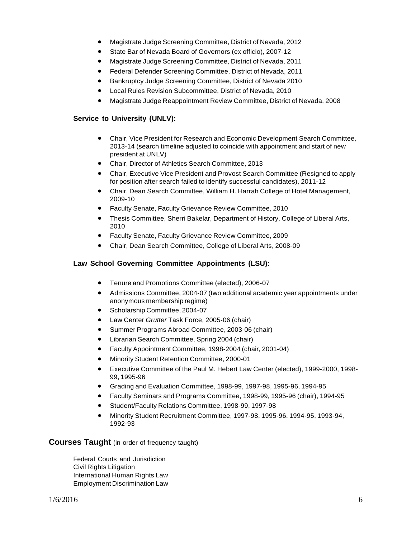- Magistrate Judge Screening Committee, District of Nevada, 2012
- State Bar of Nevada Board of Governors (ex officio), 2007-12
- Magistrate Judge Screening Committee, District of Nevada, 2011
- Federal Defender Screening Committee, District of Nevada, 2011
- Bankruptcy Judge Screening Committee, District of Nevada 2010
- Local Rules Revision Subcommittee, District of Nevada, 2010
- Magistrate Judge Reappointment Review Committee, District of Nevada, 2008

### **Service to University (UNLV):**

- Chair, Vice President for Research and Economic Development Search Committee, 2013-14 (search timeline adjusted to coincide with appointment and start of new president at UNLV)
- Chair, Director of Athletics Search Committee, 2013
- Chair, Executive Vice President and Provost Search Committee (Resigned to apply for position after search failed to identify successful candidates), 2011-12
- Chair, Dean Search Committee, William H. Harrah College of Hotel Management, 2009-10
- Faculty Senate, Faculty Grievance Review Committee, 2010
- Thesis Committee, Sherri Bakelar, Department of History, College of Liberal Arts, 2010
- Faculty Senate, Faculty Grievance Review Committee, 2009
- Chair, Dean Search Committee, College of Liberal Arts, 2008-09

### **Law School Governing Committee Appointments (LSU):**

- Tenure and Promotions Committee (elected), 2006-07
- Admissions Committee, 2004-07 (two additional academic year appointments under anonymous membership regime)
- Scholarship Committee, 2004-07
- Law Center *Grutter* Task Force, 2005-06 (chair)
- Summer Programs Abroad Committee, 2003-06 (chair)
- Librarian Search Committee, Spring 2004 (chair)
- Faculty Appointment Committee, 1998-2004 (chair, 2001-04)
- Minority Student Retention Committee, 2000-01
- Executive Committee of the Paul M. Hebert Law Center (elected), 1999-2000, 1998- 99, 1995-96
- Grading and Evaluation Committee, 1998-99, 1997-98, 1995-96, 1994-95
- Faculty Seminars and Programs Committee, 1998-99, 1995-96 (chair), 1994-95
- Student/Faculty Relations Committee, 1998-99, 1997-98
- Minority Student Recruitment Committee, 1997-98, 1995-96. 1994-95, 1993-94, 1992-93

### **Courses Taught** (in order of frequency taught)

Federal Courts and Jurisdiction Civil Rights Litigation International Human Rights Law Employment Discrimination Law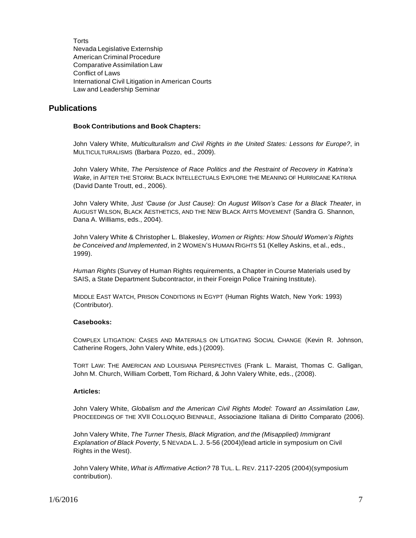**Torts** Nevada Legislative Externship American Criminal Procedure Comparative Assimilation Law Conflict of Laws International Civil Litigation in American Courts Law and Leadership Seminar

### **Publications**

#### **Book Contributions and Book Chapters:**

John Valery White, *Multiculturalism and Civil Rights in the United States: Lessons for Europe?*, in MULTICULTURALISMS (Barbara Pozzo, ed., 2009).

John Valery White, *The Persistence of Race Politics and the Restraint of Recovery in Katrina's Wake*, in AFTER THE STORM: BLACK INTELLECTUALS EXPLORE THE MEANING OF HURRICANE KATRINA (David Dante Troutt, ed., 2006).

John Valery White, *Just 'Cause (or Just Cause): On August Wilson's Case for a Black Theater*, in AUGUST WILSON, BLACK AESTHETICS, AND THE NEW BLACK ARTS MOVEMENT (Sandra G. Shannon, Dana A. Williams, eds., 2004).

John Valery White & Christopher L. Blakesley, *Women or Rights: How Should Women's Rights be Conceived and Implemented*, in 2 WOMEN'S HUMAN RIGHTS 51 (Kelley Askins, et al., eds., 1999).

*Human Rights* (Survey of Human Rights requirements, a Chapter in Course Materials used by SAIS, a State Department Subcontractor, in their Foreign Police Training Institute).

MIDDLE EAST WATCH, PRISON CONDITIONS IN EGYPT (Human Rights Watch, New York: 1993) (Contributor).

### **Casebooks:**

COMPLEX LITIGATION: CASES AND MATERIALS ON LITIGATING SOCIAL CHANGE (Kevin R. Johnson, Catherine Rogers, John Valery White, eds.) (2009).

TORT LAW: THE AMERICAN AND LOUISIANA PERSPECTIVES (Frank L. Maraist, Thomas C. Galligan, John M. Church, William Corbett, Tom Richard, & John Valery White, eds., (2008).

#### **Articles:**

John Valery White, *Globalism and the American Civil Rights Model: Toward an Assimilation Law*, PROCEEDINGS OF THE XVII COLLOQUIO BIENNALE, Associazione Italiana di Diritto Comparato (2006).

John Valery White, *The Turner Thesis, Black Migration, and the (Misapplied) Immigrant Explanation of Black Poverty*, 5 NEVADA L. J. 5-56 (2004)(lead article in symposium on Civil Rights in the West).

John Valery White, *What is Affirmative Action?* 78 TUL. L. REV. 2117-2205 (2004)(symposium contribution).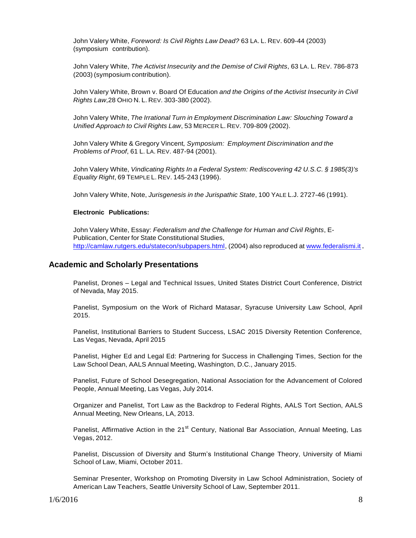John Valery White, *Foreword: Is Civil Rights Law Dead?* 63 LA. L. REV. 609-44 (2003) (symposium contribution).

John Valery White, *The Activist Insecurity and the Demise of Civil Rights*, 63 LA. L. REV. 786-873 (2003) (symposium contribution).

John Valery White, Brown v. Board Of Education *and the Origins of the Activist Insecurity in Civil Rights Law*,28 OHIO N. L. REV. 303-380 (2002).

John Valery White, *The Irrational Turn in Employment Discrimination Law: Slouching Toward a Unified Approach to Civil Rights Law*, 53 MERCER L. REV. 709-809 (2002).

John Valery White & Gregory Vincent*, Symposium: Employment Discrimination and the Problems of Proof*, 61 L. LA. REV. 487-94 (2001).

John Valery White, *Vindicating Rights In a Federal System: Rediscovering 42 U.S.C. § 1985(3)'s Equality Right*, 69 TEMPLE L. REV. 145-243 (1996).

John Valery White, Note, *Jurisgenesis in the Jurispathic State*, 100 YALE L.J. 2727-46 (1991).

#### **Electronic Publications:**

John Valery White, Essay: *Federalism and the Challenge for Human and Civil Rights*, E-Publication, Center for State Constitutional Studies, [http://camlaw.rutgers.edu/statecon/subpapers.html,](http://camlaw.rutgers.edu/statecon/subpapers.html) (2004) also reproduced at [www.federalismi.it](http://www.federalismi.it/).

### **Academic and Scholarly Presentations**

Panelist, Drones – Legal and Technical Issues, United States District Court Conference, District of Nevada, May 2015.

Panelist, Symposium on the Work of Richard Matasar, Syracuse University Law School, April 2015.

Panelist, Institutional Barriers to Student Success, LSAC 2015 Diversity Retention Conference, Las Vegas, Nevada, April 2015

Panelist, Higher Ed and Legal Ed: Partnering for Success in Challenging Times, Section for the Law School Dean, AALS Annual Meeting, Washington, D.C., January 2015.

Panelist, Future of School Desegregation, National Association for the Advancement of Colored People, Annual Meeting, Las Vegas, July 2014.

Organizer and Panelist, Tort Law as the Backdrop to Federal Rights, AALS Tort Section, AALS Annual Meeting, New Orleans, LA, 2013.

Panelist, Affirmative Action in the 21<sup>st</sup> Century, National Bar Association, Annual Meeting, Las Vegas, 2012.

Panelist, Discussion of Diversity and Sturm's Institutional Change Theory, University of Miami School of Law, Miami, October 2011.

Seminar Presenter, Workshop on Promoting Diversity in Law School Administration, Society of American Law Teachers, Seattle University School of Law, September 2011.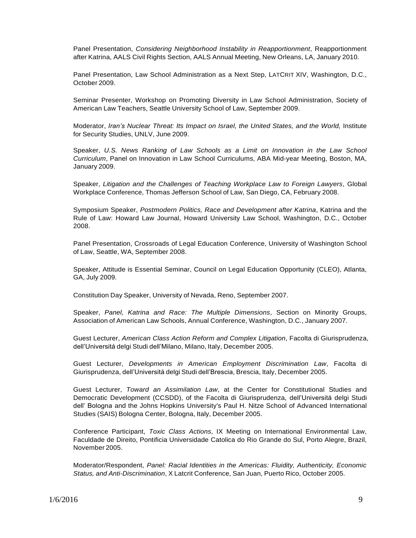Panel Presentation, *Considering Neighborhood Instability in Reapportionment*, Reapportionment after Katrina, AALS Civil Rights Section, AALS Annual Meeting, New Orleans, LA, January 2010.

Panel Presentation, Law School Administration as a Next Step, LATCRIT XIV, Washington, D.C., October 2009.

Seminar Presenter, Workshop on Promoting Diversity in Law School Administration, Society of American Law Teachers, Seattle University School of Law, September 2009.

Moderator, *Iran's Nuclear Threat: Its Impact on Israel, the United States, and the World,* Institute for Security Studies, UNLV, June 2009.

Speaker, *U.S. News Ranking of Law Schools as a Limit on Innovation in the Law School Curriculum*, Panel on Innovation in Law School Curriculums, ABA Mid-year Meeting, Boston, MA, January 2009.

Speaker, *Litigation and the Challenges of Teaching Workplace Law to Foreign Lawyers*, Global Workplace Conference, Thomas Jefferson School of Law, San Diego, CA, February 2008.

Symposium Speaker, *Postmodern Politics, Race and Development after Katrina*, Katrina and the Rule of Law: Howard Law Journal, Howard University Law School, Washington, D.C., October 2008.

Panel Presentation, Crossroads of Legal Education Conference, University of Washington School of Law, Seattle, WA, September 2008.

Speaker, Attitude is Essential Seminar, Council on Legal Education Opportunity (CLEO), Atlanta, GA, July 2009.

Constitution Day Speaker, University of Nevada, Reno, September 2007.

Speaker, *Panel, Katrina and Race: The Multiple Dimensions*, Section on Minority Groups, Association of American Law Schools, Annual Conference, Washington, D.C., January 2007.

Guest Lecturer, *American Class Action Reform and Complex Litigation*, Facolta di Giurisprudenza, dell'Universitá delgi Studi dell'Milano, Milano, Italy, December 2005.

Guest Lecturer, *Developments in American Employment Discrimination Law*, Facolta di Giurisprudenza, dell'Universitá delgi Studi dell'Brescia, Brescia, Italy, December 2005.

Guest Lecturer, *Toward an Assimilation Law*, at the Center for Constitutional Studies and Democratic Development (CCSDD), of the Facolta di Giurisprudenza, dell'Universitá delgi Studi dell' Bologna and the Johns Hopkins University's Paul H. Nitze School of Advanced International Studies (SAIS) Bologna Center, Bologna, Italy, December 2005.

Conference Participant, *Toxic Class Actions*, IX Meeting on International Environmental Law, Faculdade de Direito, Pontificia Universidade Catolica do Rio Grande do Sul, Porto Alegre, Brazil, November 2005.

Moderator/Respondent, *Panel: Racial Identities in the Americas: Fluidity, Authenticity, Economic Status, and Anti-Discrimination*, X Latcrit Conference, San Juan, Puerto Rico, October 2005.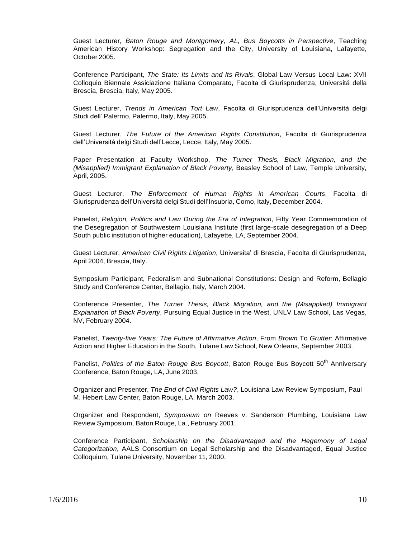Guest Lecturer, *Baton Rouge and Montgomery, AL, Bus Boycotts in Perspective*, Teaching American History Workshop: Segregation and the City, University of Louisiana, Lafayette, October 2005.

Conference Participant, *The State: Its Limits and Its Rivals*, Global Law Versus Local Law: XVII Colloquio Biennale Assiciazione Italiana Comparato, Facolta di Giurisprudenza, Universitá della Brescia, Brescia, Italy, May 2005.

Guest Lecturer, *Trends in American Tort Law*, Facolta di Giurisprudenza dell'Universitá delgi Studi dell' Palermo, Palermo, Italy, May 2005.

Guest Lecturer, *The Future of the American Rights Constitution*, Facolta di Giurisprudenza dell'Universitá delgi Studi dell'Lecce, Lecce, Italy, May 2005.

Paper Presentation at Faculty Workshop, *The Turner Thesis, Black Migration, and the (Misapplied) Immigrant Explanation of Black Poverty*, Beasley School of Law, Temple University, April, 2005.

Guest Lecturer, *The Enforcement of Human Rights in American Courts*, Facolta di Giurisprudenza dell'Universitá delgi Studi dell'Insubria, Como, Italy, December 2004.

Panelist, *Religion, Politics and Law During the Era of Integration*, Fifty Year Commemoration of the Desegregation of Southwestern Louisiana Institute (first large-scale desegregation of a Deep South public institution of higher education), Lafayette, LA, September 2004.

Guest Lecturer, *American Civil Rights Litigation*, Universita' di Brescia, Facolta di Giurisprudenza, April 2004, Brescia, Italy.

Symposium Participant, Federalism and Subnational Constitutions: Design and Reform, Bellagio Study and Conference Center, Bellagio, Italy, March 2004.

Conference Presenter, *The Turner Thesis, Black Migration, and the (Misapplied) Immigrant Explanation of Black Poverty*, Pursuing Equal Justice in the West, UNLV Law School, Las Vegas, NV, February 2004.

Panelist, *Twenty-five Years: The Future of Affirmative Action*, From *Brown* To *Grutter*: Affirmative Action and Higher Education in the South, Tulane Law School, New Orleans, September 2003.

Panelist, *Politics of the Baton Rouge Bus Boycott*, Baton Rouge Bus Boycott 50th Anniversary Conference, Baton Rouge, LA, June 2003.

Organizer and Presenter, *The End of Civil Rights Law?*, Louisiana Law Review Symposium, Paul M. Hebert Law Center, Baton Rouge, LA, March 2003.

Organizer and Respondent, *Symposium on* Reeves v. Sanderson Plumbing*,* Louisiana Law Review Symposium, Baton Rouge, La., February 2001.

Conference Participant, *Scholarship on the Disadvantaged and the Hegemony of Legal Categorization*, AALS Consortium on Legal Scholarship and the Disadvantaged, Equal Justice Colloquium, Tulane University, November 11, 2000.